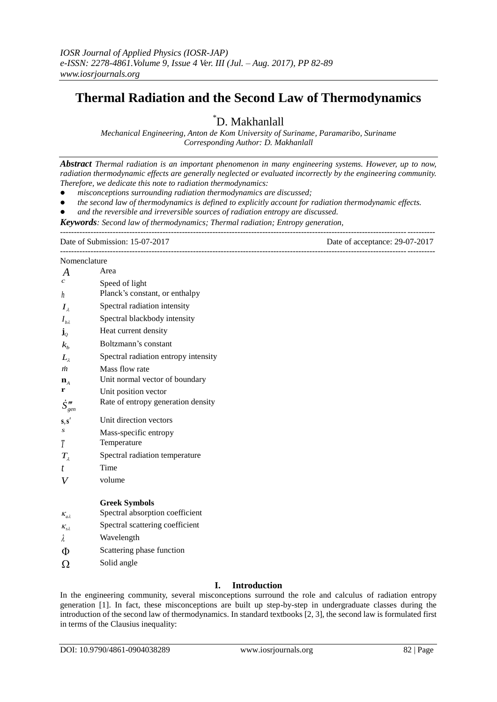# **Thermal Radiation and the Second Law of Thermodynamics**

\*D. Makhanlall

*Mechanical Engineering, Anton de Kom University of Suriname, Paramaribo, Suriname Corresponding Author: D. Makhanlall*

*Abstract Thermal radiation is an important phenomenon in many engineering systems. However, up to now, radiation thermodynamic effects are generally neglected or evaluated incorrectly by the engineering community. Therefore, we dedicate this note to radiation thermodynamics:* 

- *misconceptions surrounding radiation thermodynamics are discussed;*
- *the second law of thermodynamics is defined to explicitly account for radiation thermodynamic effects.*
- *and the reversible and irreversible sources of radiation entropy are discussed.*

*Keywords: Second law of thermodynamics; Thermal radiation; Entropy generation,* ---------------------------------------------------------------------------------------------------------------------------------------

#### Date of Submission: 15-07-2017 Date of acceptance: 29-07-2017

Nomenclature

---------------------------------------------------------------------------------------------------------------------------------------

| A                                    | Area                                 |
|--------------------------------------|--------------------------------------|
| с                                    | Speed of light                       |
| h                                    | Planck's constant, or enthalpy       |
| $I_{\lambda}$                        | Spectral radiation intensity         |
| $I_{b\lambda}$                       | Spectral blackbody intensity         |
| $\mathbf{j}_o$                       | Heat current density                 |
| $k_{h}$                              | Boltzmann's constant                 |
| $L_{\lambda}$                        | Spectral radiation entropy intensity |
| $\dot{m}$                            | Mass flow rate                       |
| $\mathbf{n}_{\scriptscriptstyle{A}}$ | Unit normal vector of boundary       |
| r                                    | Unit position vector                 |
| $\dot{S}'''_{gen}$                   | Rate of entropy generation density   |
| $\mathbf{s},\mathbf{s}'$             | Unit direction vectors               |
| S                                    | Mass-specific entropy                |
| Т                                    | Temperature                          |
| $T_{\lambda}$                        | Spectral radiation temperature       |
| t                                    | Time                                 |
| V                                    | volume                               |
|                                      | <b>Greek Symbols</b>                 |
| $K_{a\lambda}$                       | Spectral absorption coefficient      |
| $K_{s\lambda}$                       | Spectral scattering coefficient      |
| λ                                    | Wavelength                           |
| Φ                                    | Scattering phase function            |
| Ω                                    | Solid angle                          |
|                                      |                                      |

# **I. Introduction**

In the engineering community, several misconceptions surround the role and calculus of radiation entropy generation [1]. In fact, these misconceptions are built up step-by-step in undergraduate classes during the introduction of the second law of thermodynamics. In standard textbooks [2, 3], the second law is formulated first in terms of the Clausius inequality: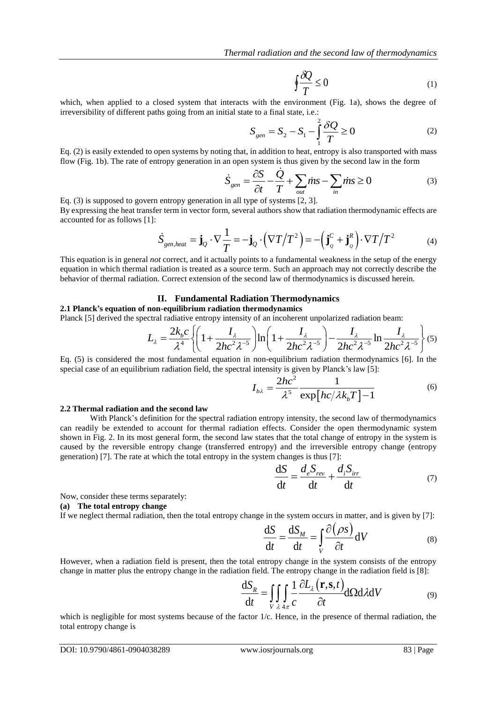$$
\oint \frac{\delta Q}{T} \le 0 \tag{1}
$$

which, when applied to a closed system that interacts with the environment (Fig. 1a), shows the degree of irreversibility of different paths going from an initial state to a final state, i.e.:

$$
S_{gen} = S_2 - S_1 - \int_{1}^{2} \frac{\delta Q}{T} \ge 0
$$
 (2)

Eq. (2) is easily extended to open systems by noting that, in addition to heat, entropy is also transported with mass Eq. (2) is easily extended to open systems by hoting that, in addition to heat, entropy is also transported with hasself<br>flow (Fig. 1b). The rate of entropy generation in an open system is thus given by the second law in

$$
\dot{S}_{gen} = \frac{\partial S}{\partial t} - \frac{\dot{Q}}{T} + \sum_{out} \dot{m} s - \sum_{in} \dot{m} s \ge 0
$$
\n(3)

Eq. (3) is supposed to govern entropy generation in all type of systems [2, 3]. accounted for as follows [1]:

By expressing the heat transfer term in vector form, several authors show that radiation thermodynamic effects are  
accounted for as follows [1]:  

$$
\dot{S}_{gen, heat} = \dot{\mathbf{j}}_Q \cdot \nabla \frac{1}{T} = -\dot{\mathbf{j}}_Q \cdot (\nabla T/T^2) = -(\dot{\mathbf{j}}_Q^C + \dot{\mathbf{j}}_Q^R) \cdot \nabla T/T^2
$$
(4)

This equation is in general *not* correct, and it actually points to a fundamental weakness in the setup of the energy equation in which thermal radiation is treated as a source term. Such an approach may not correctly describe the behavior of thermal radiation. Correct extension of the second law of thermodynamics is discussed herein.

## **II. Fundamental Radiation Thermodynamics**

### **2.1 Planck's equation of non-equilibrium radiation thermodynamics**

Planck [5] derived the spectral radiative entropy intensity of an incoherent unpolarized radiation beam:

**II. Fundamental Radiation Thermodynamics**  
\n**non-equilibrium radiation thermodynamics**  
\n**central radiative entropy intensity of an incoherent unpolarized radiation beam:**  
\n
$$
L_{\lambda} = \frac{2k_b c}{\lambda^4} \left\{ \left( 1 + \frac{I_{\lambda}}{2hc^2 \lambda^{-5}} \right) \ln \left( 1 + \frac{I_{\lambda}}{2hc^2 \lambda^{-5}} \right) - \frac{I_{\lambda}}{2hc^2 \lambda^{-5}} \ln \frac{I_{\lambda}}{2hc^2 \lambda^{-5}} \right\} (5)
$$
\nmost fundamental equation in non-equilibrium radiation thermodynamics [6]. In the

Eq. (5) is considered the most fundamental equation in non-equilibrium radiation thermodynamics [6]. In the special case of an equilibrium radiation field, the spectral intensity is given by Planck's law [5]:<br> $I = \frac{2hc^2}{\sqrt{1 - (1 - 1)^2}}$ 

$$
I_{b\lambda} = \frac{2hc^2}{\lambda^5} \frac{1}{\exp\left[hc/\lambda k_b T\right] - 1}
$$
 (6)

#### **2.2 Thermal radiation and the second law**

With Planck's definition for the spectral radiation entropy intensity, the second law of thermodynamics can readily be extended to account for thermal radiation effects. Consider the open thermodynamic system shown in Fig. 2. In its most general form, the second law states that the total change of entropy in the system is caused by the reversible entropy change (transferred entropy) and the irreversible entropy change (entropy generation) [7]. The rate at which the total entropy in the system changes is thus [7]:

$$
\frac{dS}{dt} = \frac{d_e S_{rev}}{dt} + \frac{d_i S_{irr}}{dt}
$$
 (7)

Now, consider these terms separately:

### **(a) The total entropy change**

If we neglect thermal radiation, then the total entropy change in the system occurs in matter, and is given by [7]:

$$
\frac{dS}{dt} = \frac{dS_M}{dt} = \int_{V} \frac{\partial(\rho s)}{\partial t} dV
$$
 (8)

However, when a radiation field is present, then the total entropy change in the system consists of the entropy

change in matter plus the entropy change in the radiation field. The entropy change in the radiation field is [8]:  
\n
$$
\frac{dS_R}{dt} = \iint_{V} \int_{\lambda} \frac{1}{4\pi} \frac{\partial L_{\lambda}(\mathbf{r}, \mathbf{s}, t)}{\partial t} d\Omega d\lambda dV
$$
\n(9)

which is negligible for most systems because of the factor  $1/c$ . Hence, in the presence of thermal radiation, the total entropy change is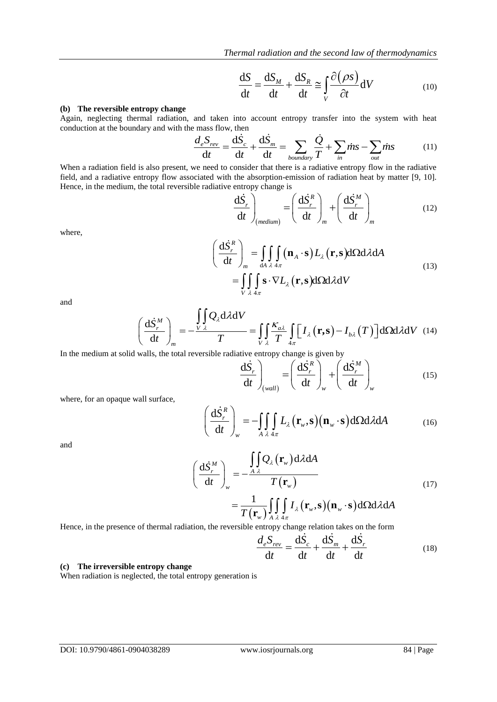*Thermal radiation and the second law of thermodynamics*

$$
\frac{\mathrm{d}S}{\mathrm{d}t} = \frac{\mathrm{d}S_M}{\mathrm{d}t} + \frac{\mathrm{d}S_R}{\mathrm{d}t} \cong \int_V \frac{\partial(\rho s)}{\partial t} \mathrm{d}V \tag{10}
$$

#### **(b) The reversible entropy change**

Again, neglecting thermal radiation, and taken into account entropy transfer into the system with heat conduction at the boundary and with the mass flow, then<br>  $\frac{d_e S_{rev}}{d_e S_{rev}} = \frac{dS_e}{dt} + \frac{dS_m}{dt} = \sum \frac{\dot{Q}}{dt} + \sum \dot{m}S - \$ conduction at the boundary and with the mass flow, then<br> $\frac{d_e S_{rev}}{d_e S_{rev}} = \frac{dS_e}{dr} + \frac{dS_m}{dr}$ 

and taken into account entropy transfer into the system with heat mass flow, then  
\n
$$
\frac{d_e S_{rev}}{dt} = \frac{dS_c}{dt} + \frac{dS_m}{dt} = \sum_{boundary} \frac{\dot{Q}}{T} + \sum_{in} \dot{m}S - \sum_{out} \dot{m}S
$$
\n(11)

When a radiation field is also present, we need to consider that there is a radiative entropy flow in the radiative field, and a radiative entropy flow associated with the absorption-emission of radiation heat by matter [9, 10]. Hence, in the medium, the total reversible radiative entropy change is<br>  $\frac{d\dot{S}_r}{dt} = \left(\frac{d\dot{S}_r^R}{dt}\right)^2 + \left(\frac{d\dot{S}_r^R}{dt^2}\right)^2$ 

entropy change is  
\n
$$
\frac{d\dot{S}_r}{dt}\Bigg|_{(medium)} = \left(\frac{d\dot{S}_r^R}{dt}\right)_m + \left(\frac{d\dot{S}_r^M}{dt}\right)_m
$$
\n(12)

where,

(b) The reversible entropy change  
\n
$$
\frac{dS}{dt} = \frac{dS_M}{dt} + \frac{dS_R}{dt} \approx \int_{V} \frac{\partial(\rho s)}{\partial t} dV
$$
\n(10)  
\nConducting at the boundary and with the mass flow, then  
\nconduction at the boundary and with the mass flow, then  
\n
$$
\frac{d_{\rho} S_{\rho\nu}}{dt} = \frac{d\hat{S}_{\rho}}{dt} + \frac{d\hat{S}_{m}}{dt} = \sum_{\substack{m \text{ bounded}}} \frac{\partial}{\partial t} + \sum_{\substack{m \text{ bounded}}} m \sin \hat{\theta} = \sum_{\substack{m \text{ odd}}} m \sin \hat{\theta} = \sum_{\substack{m \text{ odd}}} m \sin \hat{\theta} = \sum_{\substack{m \text{ odd}}} m \sin \hat{\theta} = \sum_{\substack{m \text{ odd}}} m \sin \hat{\theta} = \sum_{\substack{m \text{ odd}}} m \sin \hat{\theta} = \sum_{\substack{m \text{ odd}}} m \sin \hat{\theta} = \sum_{\substack{m \text{ odd}}} m \sin \hat{\theta} = \sum_{\substack{m \text{ odd}}} m \sin \hat{\theta} = \sum_{\substack{m \text{ odd}}} m \sin \hat{\theta} = \sum_{\substack{m \text{ odd}}} m \sin \hat{\theta} = \sum_{\substack{m \text{ odd}}} m \sin \hat{\theta} = \sum_{\substack{m \text{ odd}}} m \sin \hat{\theta} = \sum_{\substack{m \text{ odd}}} m \sin \hat{\theta} = \sum_{\substack{m \text{ odd}}} m \sin \hat{\theta} = \sum_{\substack{m \text{ odd}}} m \sin \hat{\theta} = \sum_{\substack{m \text{ odd}}} m \sin \hat{\theta} = \sum_{\substack{m \text{ odd}}} m \sin \hat{\theta} = \sum_{\substack{m \text{ odd}}} m \sin \hat{\theta} = \sum_{\substack{m \text{ odd}}} m \sin \hat{\theta} = \sum_{\substack{m \text{ odd}}} m \sin \hat{\theta} = \sum_{\substack{m \text{ odd}}} m \sin \hat{\theta} = \sum_{\substack{m \text{ odd}}} m \sin \hat{\theta} = \sum_{\substack{m \text{ odd}}} m \sin \hat{\theta} = \sum_{\substack{m \text{ odd}}} m \sin \hat{\theta} = \sum_{\substack{m \text{ odd}}} m \sin \hat{\theta} = \sum_{\substack{m \text
$$

and

$$
= \iint_{V} \iint_{\lambda} \mathbf{s} \cdot \nabla L_{\lambda} (\mathbf{r}, \mathbf{s}) \, d\Omega d\lambda \, dV
$$
\n
$$
\left( \frac{d \dot{S}_{r}^{M}}{dt} \right)_{m} = -\frac{\iint_{V} Q_{\lambda} d\lambda \, dV}{T} = \iint_{V} \frac{K_{a\lambda}}{T} \int_{4\pi} [I_{\lambda} (\mathbf{r}, \mathbf{s}) - I_{b\lambda} (T)] \, d\Omega d\lambda \, dV \quad (14)
$$
\n
$$
= -\frac{\iint_{V} Q_{\lambda} d\lambda \, dV}{T} = -\frac{\iint_{V} Q_{\lambda} d\lambda \, dV}{T} = -\frac{\iint_{V} Q_{\lambda} d\lambda \, dV}{T} = -\frac{\iint_{V} Q_{\lambda} d\lambda \, dV}{T} = -\frac{\iint_{V} Q_{\lambda} d\lambda \, dV}{T} = -\frac{\iint_{V} Q_{\lambda} d\lambda \, dV}{T} = -\frac{\iint_{V} Q_{\lambda} d\lambda \, dV}{T} = -\frac{\iint_{V} Q_{\lambda} d\lambda \, dV}{T} = -\frac{\iint_{V} Q_{\lambda} d\lambda \, dV}{T} = -\frac{\iint_{V} Q_{\lambda} d\lambda \, dV}{T} = -\frac{\iint_{V} Q_{\lambda} d\lambda \, dV}{T} = -\frac{\iint_{V} Q_{\lambda} d\lambda \, dV}{T} = -\frac{\iint_{V} Q_{\lambda} d\lambda \, dV}{T} = -\frac{\iint_{V} Q_{\lambda} d\lambda \, dV}{T} = -\frac{\iint_{V} Q_{\lambda} d\lambda \, dV}{T} = -\frac{\iint_{V} Q_{\lambda} d\lambda \, dV}{T} = -\frac{\iint_{V} Q_{\lambda} d\lambda \, dV}{T} = -\frac{\iint_{V} Q_{\lambda} d\lambda \, dV}{T} = -\frac{\iint_{V} Q_{\lambda} d\lambda \, dV}{T} = -\frac{\iint_{V} Q_{\lambda} d\lambda \, dV}{T} = -\frac{\iint_{V} Q_{\lambda} d\lambda \, dV}{T} = -\frac{\iint_{V} Q_{\lambda} d\lambda \, dV}{T} = -\frac{\iint_{V} Q_{\lambda} d
$$

In the medium at solid walls, the total reversible radiative entropy change is given by  
\n
$$
\frac{d\dot{S}_r}{dt}\bigg|_{(wall)} = \left(\frac{d\dot{S}_r^R}{dt}\right)_w + \left(\frac{d\dot{S}_r^M}{dt}\right)_w
$$
\n(15)

where, for an opaque wall surface,

$$
\left(\frac{d\dot{S}_r^R}{dt}\right)_w = -\iint_A \int_A L_\lambda(\mathbf{r}_w, \mathbf{s})(\mathbf{n}_w \cdot \mathbf{s}) d\Omega d\lambda dA
$$
\n(16)\n
$$
\left(\frac{\dot{S}_r^R}{dt}\right)_w = -\iint_A \int_A L_\lambda(\mathbf{r}_w, \mathbf{s})(\mathbf{n}_w \cdot \mathbf{s}) d\Omega d\lambda dA
$$

and

$$
\left(\frac{d\dot{S}_{r}^{M}}{dt}\right)_{w} = -\frac{\int_{A} Q_{\lambda}(\mathbf{r}_{w}) d\lambda dA}{T(\mathbf{r}_{w})}
$$
\n
$$
= \frac{1}{T(\mathbf{r}_{w})} \int_{A} \int_{\lambda} I_{\lambda}(\mathbf{r}_{w}, \mathbf{s}) (\mathbf{n}_{w} \cdot \mathbf{s}) d\Omega d\lambda dA
$$
\n(17)

$$
= \frac{1}{T(\mathbf{r}_{w})} \iint_{A} \iint_{A} I_{\lambda}(\mathbf{r}_{w}, \mathbf{s}) (\mathbf{n}_{w} \cdot \mathbf{s}) d\Omega d\lambda dA
$$

Hence, in the presence of thermal radiation, the reversible entropy change relation takes on the form<br>  $d_e S_{rev} = d\dot{S}_{c} + d\dot{S}_{m} + d\dot{S}_{r}$ 

$$
\frac{d_e S_{rev}}{dt} = \frac{d\dot{S}_c}{dt} + \frac{d\dot{S}_m}{dt} + \frac{d\dot{S}_r}{dt}
$$
(18)

# **(c) The irreversible entropy change**

When radiation is neglected, the total entropy generation is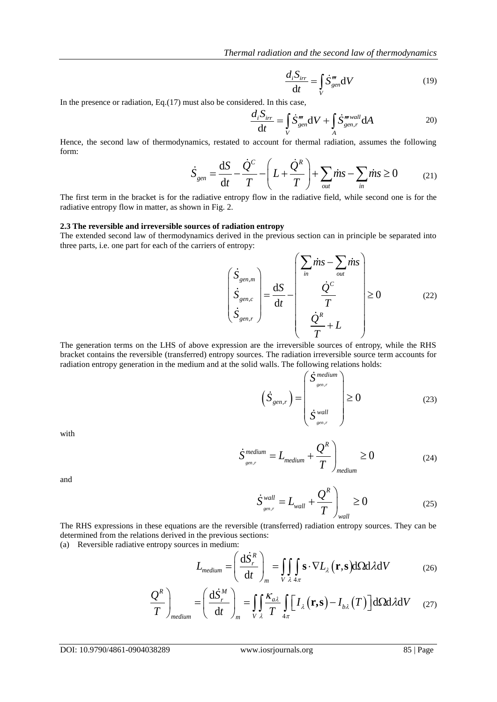$$
\frac{d_i S_{irr}}{\mathrm{d}t} = \int\limits_V \dot{S}_{gen}^{\prime\prime\prime} \mathrm{d}V\tag{19}
$$

In the presence or radiation, Eq.(17) must also be considered. In this case,  
\n
$$
\frac{d_i S_{irr}}{dt} = \int_{V} \dot{S}_{gen}^{m} dV + \int_{A} \dot{S}_{gen,r}^{m wall} dA
$$

form:  $c \neq \dot{Q}^R$ 

Hence, the second law of thermodynamics, restated to account for thermal radiation, assumes the following form:  
\n
$$
\dot{S}_{gen} = \frac{dS}{dt} - \frac{\dot{Q}^C}{T} - \left(L + \frac{\dot{Q}^R}{T}\right) + \sum_{out} \dot{m} s - \sum_{in} \dot{m} s \ge 0 \tag{21}
$$

The first term in the bracket is for the radiative entropy flow in the radiative field, while second one is for the radiative entropy flow in matter, as shown in Fig. 2.

#### **2.3 The reversible and irreversible sources of radiation entropy**

The extended second law of thermodynamics derived in the previous section can in principle be separated into three parts, i.e. one part for each of the carriers of entropy:<br>  $\left(\vec{S}\right)$   $\left(\vec{S}\right)$   $\left(\sum_{n} \vec{m}S - \sum_{out} \vec{$ three parts, i.e. one part for each of the carriers of entropy:

entropy:  
\n
$$
\begin{pmatrix}\n\dot{S}_{gen,m} \\
\dot{S}_{gen,c} \\
\dot{S}_{gen,r}\n\end{pmatrix} = \frac{dS}{dt} - \begin{pmatrix}\n\sum_{in} \dot{m}S - \sum_{out} \dot{m}S \\
\frac{\dot{Q}^C}{T} \\
\frac{\dot{Q}^R}{T} + L\n\end{pmatrix} \ge 0
$$
\n(22)

The generation terms on the LHS of above expression are the irreversible sources of entropy, while the RHS bracket contains the reversible (transferred) entropy sources. The radiation irreversible source term accounts for radiation entropy generation in the medium and at the solid walls. The following relations holds:

$$
\left(\dot{S}_{gen,r}\right) = \begin{pmatrix} \dot{S}_{gen,r}^{medium} \\ \dot{S}_{gen,r}^{wall} \\ \dot{S}_{gen,r}^{wall} \end{pmatrix} \ge 0 \tag{23}
$$

with

$$
\dot{S}_{gen,r}^{medium} = L_{medium} + \frac{Q^R}{T} \Big)_{medium} \ge 0
$$
\n(24)

*R*

and

$$
\dot{S}_{gen,r}^{wall} = L_{wall} + \frac{Q^R}{T}\bigg)_{wall} \ge 0
$$
\n(25)

The RHS expressions in these equations are the reversible (transferred) radiation entropy sources. They can be determined from the relations derived in the previous sections:<br>
(a) Reversible radiative entropy sources in medium:<br>  $I_{c} = \left(\frac{d\dot{S}_{r}^{R}}{S_{c}}\right) = \int \int$ 

(a) Reversible radiative entropy sources in medium:

the previous sections:  
\ns in medium:  
\n
$$
L_{medium} = \left(\frac{d\dot{S}_r^R}{dt}\right)_m = \iint_{V} \iint_{A} \mathbf{s} \cdot \nabla L_{\lambda}(\mathbf{r}, \mathbf{s}) d\Omega d\lambda dV
$$
\n(26)

$$
L_{medium} = \left(\frac{d\dot{S}_r^R}{dt}\right)_m = \iint_V \int_{\lambda} \mathbf{s} \cdot \nabla L_{\lambda}(\mathbf{r}, \mathbf{s}) d\Omega d\lambda dV
$$
\n(26)\n
$$
\frac{Q^R}{T}\bigg|_{medium} = \left(\frac{d\dot{S}_r^M}{dt}\right)_m = \iint_V \frac{K_{a\lambda}}{T} \int_{4\pi} [I_{\lambda}(\mathbf{r}, \mathbf{s}) - I_{b\lambda}(T)] d\Omega d\lambda dV
$$
\n(27)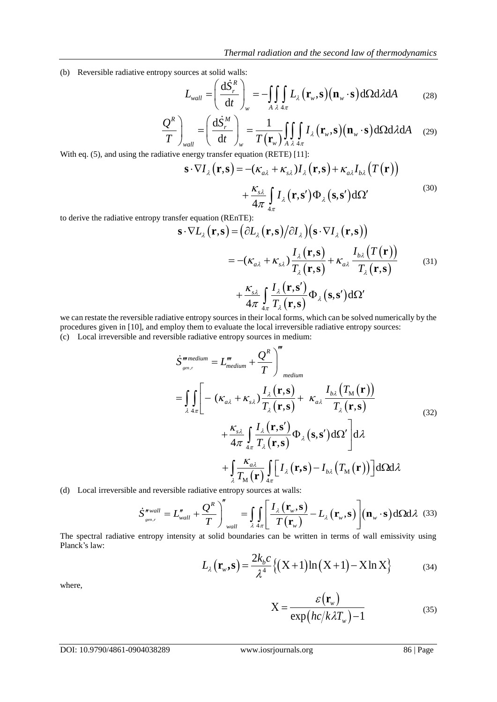(b) Reversible radiative entropy sources at solid walls:

**IDENTIFY and SET UP:**  
\n(28)  
\n(29)  
\n
$$
L_{wall} = \left(\frac{d\dot{S}_r^R}{dt}\right)_w = -\iint_A \int_A L_\lambda (\mathbf{r}_w, \mathbf{s}) (\mathbf{n}_w \cdot \mathbf{s}) d\Omega d\lambda dA
$$
\n(28)  
\n(29)  
\n(20)  
\n(21)  
\n(21)  
\n(22)  
\n(23)  
\n(24)  
\n(25)  
\n(26)  
\n(29)  
\n(21)  
\n(21)  
\n(21)  
\n(22)  
\n(23)  
\n(24)  
\n(25)  
\n(26)  
\n(29)  
\n(21)  
\n(21)  
\n(21)  
\n(22)  
\n(23)  
\n(24)  
\n(25)  
\n(26)  
\n(29)  
\n(21)  
\n(21)  
\n(21)  
\n(29)  
\n(21)  
\n(21)  
\n(29)  
\n(21)  
\n(21)  
\n(21)  
\n(29)  
\n(21)  
\n(21)  
\n(29)  
\n(21)  
\n(21)  
\n(29)  
\n(21)  
\n(21)  
\n(21)  
\n(29)  
\n(21)  
\n(21)  
\n(21)  
\n(21)  
\n(22)  
\n(23)  
\n(24)  
\n(25)  
\n(26)  
\n(29)  
\n(20)  
\n(21)  
\n(21)  
\n(21)  
\n(22)  
\n(25)  
\n(26)  
\n(29)  
\n(20)  
\n(21)  
\n(21)  
\n(21)  
\n(22)  
\n(23)  
\n(24)  
\n(25)  
\n(26)  
\n(29)  
\n(21)  
\n(21)  
\n(29)  
\n(21)  
\n(21)  
\n(29)  
\n(20)  
\n(21)  
\n(29)  
\n(21)  
\n(29)  
\n(21)  
\n(21)  
\n(29)  
\n(21)  
\n(29)  
\

$$
L_{wall} = \left(\frac{dS_r^R}{dt}\right)_w = -\iint_A L_\lambda(\mathbf{r}_w, \mathbf{s})(\mathbf{n}_w \cdot \mathbf{s}) d\Omega d\lambda dA \qquad (28)
$$

$$
\frac{Q^R}{T}\bigg)_{wall} = \left(\frac{d\dot{S}_r^M}{dt}\right)_w = \frac{1}{T(\mathbf{r}_w)} \iint_A L_\lambda(\mathbf{r}_w, \mathbf{s})(\mathbf{n}_w \cdot \mathbf{s}) d\Omega d\lambda dA \qquad (29)
$$

With eq. (5), and using the radiative energy transfer equation (RETE) [11]:

$$
\begin{aligned}\n\text{wall} \quad & \langle \mathbf{u} \rangle_{w} \mathbf{I} \left( \mathbf{I}_{w} \right)_{A} \lambda \lambda \mathbf{d} \pi \\
& \text{energy transfer equation (RETE) [11]:} \\
\mathbf{S} \cdot \nabla I_{\lambda} \left( \mathbf{r}, \mathbf{S} \right) &= -(\kappa_{a\lambda} + \kappa_{s\lambda}) I_{\lambda} \left( \mathbf{r}, \mathbf{S} \right) + \kappa_{a\lambda} I_{b\lambda} \left( T(\mathbf{r}) \right) \\
& \quad + \frac{\kappa_{s\lambda}}{4\pi} \int_{4\pi} I_{\lambda} \left( \mathbf{r}, \mathbf{S}' \right) \Phi_{\lambda} \left( \mathbf{s}, \mathbf{S}' \right) d\Omega'\n\end{aligned} \tag{30}
$$

to derive the radiative entropy transfer equation (REnTE):

$$
4\pi \int_{4\pi}^{4} \kappa^{2} \left( \mathbf{r} \cdot \mathbf{s} \right) d\mathbf{r} \, d\mathbf{r}
$$
\n
$$
\mathbf{s} \cdot \nabla L_{\lambda} (\mathbf{r}, \mathbf{s}) = \left( \partial L_{\lambda} (\mathbf{r}, \mathbf{s}) / \partial I_{\lambda} \right) \left( \mathbf{s} \cdot \nabla I_{\lambda} (\mathbf{r}, \mathbf{s}) \right)
$$
\n
$$
= -(\kappa_{a\lambda} + \kappa_{s\lambda}) \frac{I_{\lambda} (\mathbf{r}, \mathbf{s})}{T_{\lambda} (\mathbf{r}, \mathbf{s})} + \kappa_{a\lambda} \frac{I_{b\lambda} (T(\mathbf{r}))}{T_{\lambda} (\mathbf{r}, \mathbf{s})}
$$
\n
$$
+ \frac{\kappa_{s\lambda}}{4\pi} \int_{4\pi}^{4} \frac{I_{\lambda} (\mathbf{r}, \mathbf{s})}{T_{\lambda} (\mathbf{r}, \mathbf{s})} \Phi_{\lambda} (\mathbf{s}, \mathbf{s}') d\Omega'
$$
\n(31)

we can restate the reversible radiative entropy sources in their local forms, which can be solved numerically by the procedures given in [10], and employ them to evaluate the local irreversible radiative entropy sources:

(c) Local irreversible and reversible radiative entropy sources in medium:  
\n
$$
\dot{S}_{gen,r}^{mmedian} = L_{medium}^{m} + \frac{Q^{R}}{T} \Big|_{median}^{m}
$$
\n
$$
= \int_{\lambda} \int_{4\pi} \left[ - (\kappa_{a\lambda} + \kappa_{s\lambda}) \frac{I_{\lambda}(\mathbf{r}, \mathbf{s})}{T_{\lambda}(\mathbf{r}, \mathbf{s})} + \kappa_{a\lambda} \frac{I_{b\lambda}(T_{M}(\mathbf{r}))}{T_{\lambda}(\mathbf{r}, \mathbf{s})} + \frac{\kappa_{s\lambda}}{4\pi} \int_{4\pi} \frac{I_{\lambda}(\mathbf{r}, \mathbf{s})}{T_{\lambda}(\mathbf{r}, \mathbf{s})} \Phi_{\lambda}(\mathbf{s}, \mathbf{s}') d\Omega' \right] d\lambda
$$
\n
$$
+ \int_{4} \frac{\kappa_{a\lambda}}{T_{M}(\mathbf{r})} \int_{4\pi} [I_{\lambda}(\mathbf{r}, \mathbf{s}) - I_{b\lambda}(T_{M}(\mathbf{r}))] d\Omega d\lambda
$$
\n(d) Local irreversible and reversible radiative entropy sources at walls:  
\n
$$
\dot{S}^{mwall} = L_{cell}^{m} + \frac{Q^{R}}{T} \Big|_{\lambda=0}^{m} = \int_{0}^{m} \left[ \frac{I_{\lambda}(\mathbf{r}, \mathbf{s})}{I_{m}(\mathbf{r}, \mathbf{s})} - I_{\lambda}(\mathbf{r}_{m}, \mathbf{s}) \right] (\mathbf{n}_{m} \cdot \mathbf{s}) d\Omega d\lambda
$$
\n(3)

(d) Local irreversible and reversible radiative entropy sources at walls:

$$
+ \int_{\lambda} \frac{K_{a\lambda}}{T_{\text{M}}(\mathbf{r})} \int_{4\pi} [I_{\lambda}(\mathbf{r}, \mathbf{s}) - I_{b\lambda} (T_{\text{M}}(\mathbf{r}))] d\Omega d\lambda
$$
  
and reversible radiative entropy sources at walls:  

$$
\dot{S}_{gen,r}^{mwall} = L_{wall}^{m} + \frac{Q^{R}}{T} \bigg|_{wall}^{m} = \iint_{\lambda} \left[ \frac{I_{\lambda}(\mathbf{r}_{w}, \mathbf{s})}{T(\mathbf{r}_{w})} - L_{\lambda}(\mathbf{r}_{w}, \mathbf{s}) \right] (\mathbf{n}_{w} \cdot \mathbf{s}) d\Omega d\lambda
$$
(33)

The spectral radiative entropy intensity at solid boundaries can be written in terms of wall emissivity using Planck's law:<br>  $L_{\lambda}(\mathbf{r}_{w}, \mathbf{s}) = \frac{2k_{b}c}{\lambda^{4}} \{ (X+1) \ln(X+1) - X \ln X \}$  (34) Planck's law:

$$
L_{\lambda}(\mathbf{r}_{w}, \mathbf{s}) = \frac{2k_{b}c}{\lambda^{4}} \{ (X+1)\ln(X+1) - X\ln X \}
$$
 (34)

where,

$$
X = \frac{\varepsilon(\mathbf{r}_{w})}{\exp(hc/k\lambda T_{w}) - 1}
$$
 (35)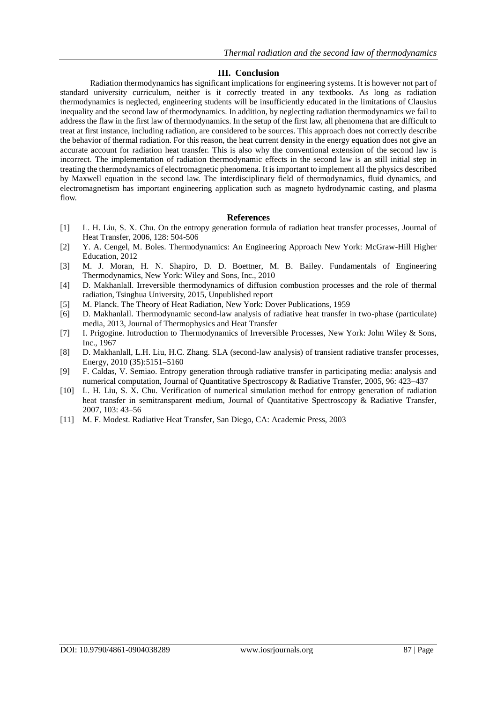# **III. Conclusion**

Radiation thermodynamics has significant implications for engineering systems. It is however not part of standard university curriculum, neither is it correctly treated in any textbooks. As long as radiation thermodynamics is neglected, engineering students will be insufficiently educated in the limitations of Clausius inequality and the second law of thermodynamics. In addition, by neglecting radiation thermodynamics we fail to address the flaw in the first law of thermodynamics. In the setup of the first law, all phenomena that are difficult to treat at first instance, including radiation, are considered to be sources. This approach does not correctly describe the behavior of thermal radiation. For this reason, the heat current density in the energy equation does not give an accurate account for radiation heat transfer. This is also why the conventional extension of the second law is incorrect. The implementation of radiation thermodynamic effects in the second law is an still initial step in treating the thermodynamics of electromagnetic phenomena. It is important to implement all the physics described by Maxwell equation in the second law. The interdisciplinary field of thermodynamics, fluid dynamics, and electromagnetism has important engineering application such as magneto hydrodynamic casting, and plasma flow.

## **References**

- [1] L. H. Liu, S. X. Chu. On the entropy generation formula of radiation heat transfer processes, Journal of Heat Transfer, 2006, 128: 504-506
- [2] Y. A. Cengel, M. Boles. Thermodynamics: An Engineering Approach New York: McGraw-Hill Higher Education, 2012
- [3] M. J. Moran, H. N. Shapiro, D. D. Boettner, M. B. Bailey. Fundamentals of Engineering Thermodynamics, New York: Wiley and Sons, Inc., 2010
- [4] D. Makhanlall. Irreversible thermodynamics of diffusion combustion processes and the role of thermal radiation, Tsinghua University, 2015, Unpublished report
- [5] M. Planck. The Theory of Heat Radiation, New York: Dover Publications, 1959
- [6] D. Makhanlall. Thermodynamic second-law analysis of radiative heat transfer in two-phase (particulate) media, 2013, Journal of Thermophysics and Heat Transfer
- [7] I. Prigogine. Introduction to Thermodynamics of Irreversible Processes, New York: John Wiley & Sons, Inc., 1967
- [8] D. Makhanlall, L.H. Liu, H.C. Zhang. SLA (second-law analysis) of transient radiative transfer processes, Energy, 2010 (35):5151–5160
- [9] F. Caldas, V. Semiao. Entropy generation through radiative transfer in participating media: analysis and numerical computation, Journal of Quantitative Spectroscopy & Radiative Transfer, 2005, 96: 423–437
- [10] L. H. Liu, S. X. Chu. Verification of numerical simulation method for entropy generation of radiation heat transfer in semitransparent medium, Journal of Quantitative Spectroscopy & Radiative Transfer, 2007, 103: 43–56
- [11] M. F. Modest. Radiative Heat Transfer, San Diego, CA: Academic Press, 2003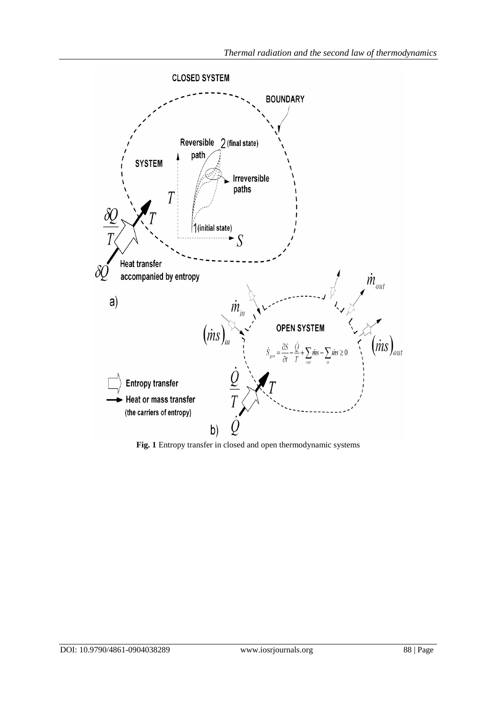

**Fig. 1** Entropy transfer in closed and open thermodynamic systems